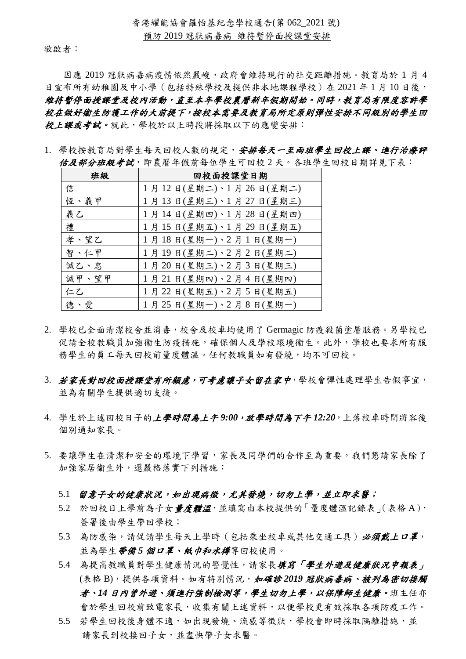敬啟者:

因應 2019 冠狀病毒病疫情依然嚴峻,政府會維持現行的社交距離措施。教育局於 1 月 4 日宣布所有幼稚園及中小學(包括特殊學校及提供非本地課程學校)在 2021 年1月10日後, 維持暫停面授課堂及校內活動,直至本年學校農曆新年假期開始。同時,教育局有限度容許學 校在做好衞生防護工作的大前提下,按校本需要及教育局所定原則彈性安排不同級別的學生回 校上課或考試。就此,學校於以上時段將採取以下的應變安排:

1. 學校按教育局對學生每天內較的規定,安排每天一至兩班學生回校上課、進行治療評 估及部分班級考試,即農曆年假前每位學生可回校 2 天。各班學生回校日期詳見下表:

| 班級    | 回校面授課堂日期              |  |  |  |
|-------|-----------------------|--|--|--|
| 信     | 1月12日(星期二)、1月26日(星期二) |  |  |  |
| 恆、義甲  | 1月13日(星期三)、1月27日(星期三) |  |  |  |
| 義乙    | 1月14日(星期四)、1月28日(星期四) |  |  |  |
| 禮     | 1月15日(星期五)、1月29日(星期五) |  |  |  |
| 孝、望乙  | 1月18日(星期一)、2月1日(星期一)  |  |  |  |
| 智、仁甲  | 1月19日(星期二)、2月2日(星期二)  |  |  |  |
| 誠乙、忠  | 1月20日(星期三)、2月3日(星期三)  |  |  |  |
| 誠甲、望甲 | 1月21日(星期四)、2月4日(星期四)  |  |  |  |
| 仁乙    | 1月22日(星期五)、2月5日(星期五)  |  |  |  |
| 德、愛   | 1月25日(星期一)、2月8日(星期一)  |  |  |  |

- 2. 學校已全面清潔校舍並消毒,校舍及校車均使用了 Germagic 防疫殺菌塗層服務。另學校已 促請全校教職員加強衞生防疫措施,確保個人及學校環境衞生。此外,學校也要求所有服 務學生的員工每天回校前量度體溫。任何教職員如有發燒,均不可回校。
- 3. 若家長對回校面授課堂有所顧慮,可考慮讓子女留在家中,學校會彈性處理學生告假事宜, 並為有關學生提供適切支援。
- 4. 學生於上述回校日子的上學時間為上午 *9:00*,放學時間為下午 *12:20*,上落校車時間將容後 個別通知家長。
- 5. 要讓學生在清潔和安全的環境下學習,家長及同學們的合作至為重要。我們懇請家長除了 加強家居衞生外,還嚴格落實下列措施:
	- 5.1 留意子女的健康狀況,如出現病徵,尤其發燒,切勿上學,並立即求醫;
	- 5.2 於回校日上學前為子女量度體溫,並填寫由本校提供的「量度體溫記錄表」(表格A), 簽署後由學生帶回學校;
	- 5.3 為防感染,請促請學生每天上學時(包括乘坐校車或其他交通工具)必須戴上口罩, 並為學生*帶備5個口罩、紙巾和水樽*等回校使用。
	- 5.4 為提高教職員對學生健康情況的警覺性,請家長填寫「學生外遊及健康狀況申報表」 (表格 B),提供各項資料。如有特別情況, mt to the 2019 冠狀病毒病、被列為密切接觸 者、*14* 日內曾外遊、須進行強制檢測等,學生切勿上學,以保障師生健康。班主任亦 會於學生回校前致電家長,收集有關上述資料,以便學校更有效採取各項防疫工作。
	- 5.5 若學生回校後身體不適,如出現發燒、流感等徵狀,學校會即時採取隔離措施,並 請家長到校接回子女,並盡快帶子女求醫。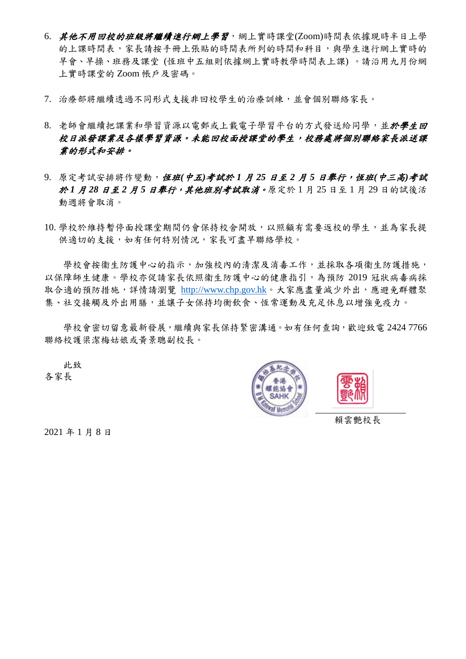- 6. 其他不用回校的班級將繼續進行網上學習,網上實時課堂(Zoom)時間表依據現時半日上學 的上課時間表,家長請按手冊上張貼的時間表所列的時間和科目,與學生進行網上實時的 早會、早操、班務及課堂 (恆班中五組則依據網上實時教學時間表上課) 。請沿用九月份網 上實時課堂的 Zoom 帳戶及密碼。
- 7. 治療部將繼續透過不同形式支援非回校學生的治療訓練,並會個別聯絡家長。
- 8. 老師會繼續把課業和學習源以電郵或上載電子學習平台的方式發送給同學,並於學生回 校日派發課業及各樣學習資源。未能回校面授課堂的學生,校務處將個別聯絡家長派送課 業的形式和安排。
- 9. 原定考試安排將作變動, 恆班(中五)考試於 1 月 25 日至 2 月 5 日舉行,恆班(中三高)考試 於 *1* 月 *28* 日至 *2* 月 *5* 日舉行,其他班別考試取消。原定於 1 月 25 日至 1 月 29 日的試後活 動週將會取消。
- 10. 學校於維持暫停面授課堂期間仍會保持校舍開放,以照顧有需要返校的學生,並為家長提 供適切的支援,如有任何特別情況,家長可盡早聯絡學校。

學校會按衞生防護中心的指示,加強校內的清潔及消毒工作,並採取各項衞生防護措施, 以保障師生健康。學校亦促請家長依照衞生防護中心的健康指引,為預防 2019 冠狀病毒病採 取合適的預防措施,詳情請瀏覽 [http://www.chp.gov.hk](http://www.chp.gov.hk/)。大家應盡量減少外出,應避免群體聚 集、社交接觸及外出用膳,並讓子女保持均衡飲食、恆常運動及充足休息以增強免疫力。

學校會密切留意最新發展,繼續與家長保持緊密溝通。如有任何查詢,歡迎致電 2424 7766 聯絡校護梁潔梅姑娘或黃景聰副校長。

 此致 各家長





賴雲艷校長

2021 年 1 月 8 日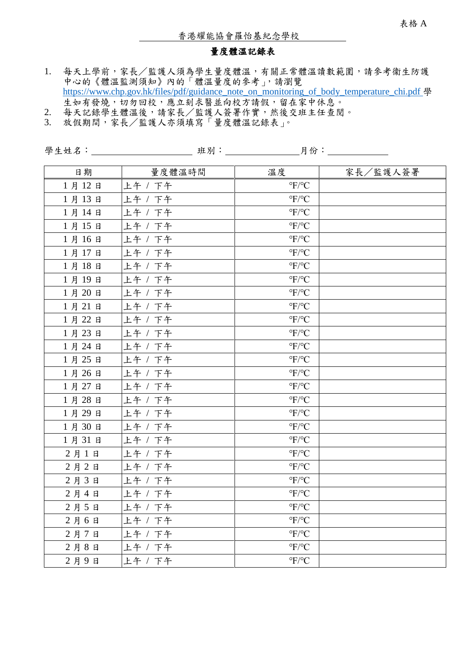### 量度體溫記錄表

- 1. 每天上學前,家長/監護人須為學生量度體溫,有關正常體溫讀數範圍,請參考衞生防護 中心的《體溫監測須知》內的「體溫量度的參考」,請瀏覽 [https://www.chp.gov.hk/files/pdf/guidance\\_note\\_on\\_monitoring\\_of\\_body\\_temperature\\_chi.pdf](https://www.chp.gov.hk/files/pdf/guidance_note_on_monitoring_of_body_temperature_chi.pdf) 學 生如有發燒,切勿回校,應立刻求醫並向校方請假,留在家中休息。
- 2. 每天記錄學生體溫後,請家長/監護人簽署作實,然後交班主任查閱。
- 3. 放假期間,家長/監護人亦須填寫「量度體溫記錄表」。

| 日期    | 量度體溫時間  | 溫度                          | 家長/監護人簽署 |
|-------|---------|-----------------------------|----------|
| 1月12日 | 上午 / 下午 | $\mathrm{^oF}/\mathrm{^oC}$ |          |
| 1月13日 | 上午 / 下午 | $\mathrm{^oF}/\mathrm{^oC}$ |          |
| 1月14日 | 上午 / 下午 | $\mathrm{P}F/\mathrm{P}C$   |          |
| 1月15日 | 上午 / 下午 | $\mathrm{P}F/\mathrm{P}C$   |          |
| 1月16日 | 上午 / 下午 | $\mathrm{^oF}/\mathrm{^oC}$ |          |
| 1月17日 | 上午 / 下午 | $\mathrm{^oF}/\mathrm{^oC}$ |          |
| 1月18日 | 上午 / 下午 | $\mathrm{^oF}/\mathrm{^oC}$ |          |
| 1月19日 | 上午 / 下午 | $\mathrm{P}F/\mathrm{P}C$   |          |
| 1月20日 | 上午 / 下午 | $\mathrm{P}F/\mathrm{P}C$   |          |
| 1月21日 | 上午 / 下午 | $\mathrm{^oF}/\mathrm{^oC}$ |          |
| 1月22日 | 上午 / 下午 | $\mathrm{^oF}/\mathrm{^oC}$ |          |
| 1月23日 | 上午 / 下午 | $\mathrm{P}F/\mathrm{P}C$   |          |
| 1月24日 | 上午 / 下午 | $\mathrm{^oF}/\mathrm{^oC}$ |          |
| 1月25日 | 上午 / 下午 | $\mathrm{^oF}/\mathrm{^oC}$ |          |
| 1月26日 | 上午 / 下午 | $\mathrm{^oF}/\mathrm{^oC}$ |          |
| 1月27日 | 上午 / 下午 | $\mathrm{^oF}/\mathrm{^oC}$ |          |
| 1月28日 | 上午 / 下午 | $\mathrm{^oF}/\mathrm{^oC}$ |          |
| 1月29日 | 上午 / 下午 | $\mathrm{^oF}/\mathrm{^oC}$ |          |
| 1月30日 | 上午 / 下午 | $\mathrm{^oF}/\mathrm{^oC}$ |          |
| 1月31日 | 上午 / 下午 | $\mathrm{^oF}/\mathrm{^oC}$ |          |
| 2月1日  | 上午 / 下午 | $\mathrm{^oF}/\mathrm{^oC}$ |          |
| 2月2日  | 上午 / 下午 | $\mathrm{^oF}/\mathrm{^oC}$ |          |
| 2月3日  | 上午 / 下午 | $\mathrm{^oF}/\mathrm{^oC}$ |          |
| 2月4日  | 上午 / 下午 | $\mathrm{^oF}/\mathrm{^oC}$ |          |
| 2月5日  | 上午 / 下午 | $\mathrm{^oF}/\mathrm{^oC}$ |          |
| 2月6日  | 上午 / 下午 | $\mathrm{^oF}/\mathrm{^oC}$ |          |
| 2月7日  | 上午 / 下午 | $\mathrm{^oF}/\mathrm{^oC}$ |          |
| 2月8日  | 上午 / 下午 | $\mathrm{^oF}/\mathrm{^oC}$ |          |
| 2月9日  | 上午 / 下午 | $\mathrm{P}F/\mathrm{P}C$   |          |

學生姓名: 班別: 月份: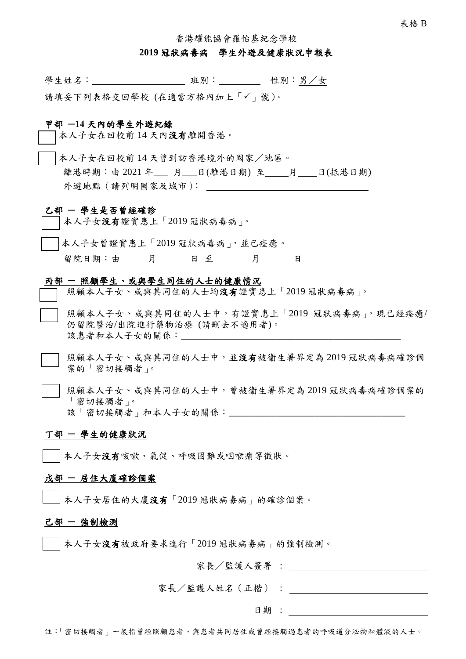香港耀能協會羅怡基紀念學校

#### **2019** 冠狀病毒病 學生外遊及健康狀況申報表

學生姓名: 班別: 性別:男/女

請填妥下列表格交回學校 (在適當方格內加上「√」號)。

#### 甲部 **─14** 天內的學生外遊紀錄

本人子女在回校前 14 天內沒有離開香港。

本人子女在回校前 14 天曾到訪香港境外的國家/地區。 離港時期:由 2021 年\_\_\_ 月\_\_\_日(離港日期) 至 月 日(抵港日期) 外遊地點(請列明國家及城市):

#### 乙部 **─** 學生是否曾經確診

本人子女沒有證實患上「2019 冠狀病毒病」。

本人子女曾證實患上「2019 冠狀病毒病」,並已痊癒。

|  |  |  |  |  |  | 留院日期 |  |
|--|--|--|--|--|--|------|--|
|--|--|--|--|--|--|------|--|

#### 丙部 **─** 照顧學生、或與學生同住的人士的健康情況

照顧本人子女、或與其同住的人士均沒有證實患上「2019冠狀病毒病」。

- 照顧本人子女、或與其同住的人士中,有證實患上「2019 冠狀病毒病」,現已經痊癒/ 仍留院醫治/出院進行藥物治療 (請刪去不適用者)。 該患者和本人子女的關係:
- 照顧本人子女、或與其同住的人士中,並沒有被衞生署界定為 2019 冠狀病毒病確診個 案的「密切接觸者」。
- 照顧本人子女、或與其同住的人士中,曾被衞生署界定為 2019 冠狀病毒病確診個案的 「密切接觸者」。 該「密切接觸者」和本人子女的關係:

#### 丁部 **─** 學生的健康狀況

本人子女沒有咳嗽、氣促、呼吸困難或咽喉痛等徵狀。

#### 戊部 **─** 居住大廈確診個案

本人子女居住的大廈沒有「2019 冠狀病毒病」的確診個案。

#### 己部 **─** 強制檢測

本人子女沒有被政府要求進行「2019 冠狀病毒病」的強制檢測。

家長/監護人簽署 :

家長/監護人姓名(正楷) :

日期 :

註:「密切接觸者」一般指曾經照顧患者、與患者共同居住或曾經接觸過患者的呼吸道分泌物和體液的人士。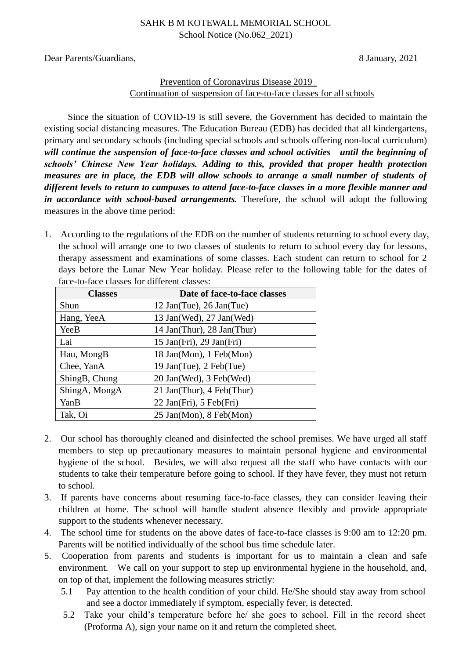### SAHK B M KOTEWALL MEMORIAL SCHOOL School Notice (No.062\_2021)

Dear Parents/Guardians, 8 January, 2021

# Prevention of Coronavirus Disease 2019 Continuation of suspension of face-to-face classes for all schools

Since the situation of COVID-19 is still severe, the Government has decided to maintain the existing social distancing measures. The Education Bureau (EDB) has decided that all kindergartens, primary and secondary schools (including special schools and schools offering non-local curriculum) *will continue the suspension of face-to-face classes and school activities until the beginning of schools' Chinese New Year holidays. Adding to this, provided that proper health protection measures are in place, the EDB will allow schools to arrange a small number of students of different levels to return to campuses to attend face-to-face classes in a more flexible manner and in accordance with school-based arrangements.* Therefore, the school will adopt the following measures in the above time period:

1. According to the regulations of the EDB on the number of students returning to school every day, the school will arrange one to two classes of students to return to school every day for lessons, therapy assessment and examinations of some classes. Each student can return to school for 2 days before the Lunar New Year holiday. Please refer to the following table for the dates of face-to-face classes for different classes:

| <b>Classes</b> | Date of face-to-face classes |
|----------------|------------------------------|
| Shun           | 12 Jan(Tue), 26 Jan(Tue)     |
| Hang, YeeA     | 13 Jan(Wed), 27 Jan(Wed)     |
| YeeB           | 14 Jan(Thur), 28 Jan(Thur)   |
| Lai            | $15$ Jan(Fri), $29$ Jan(Fri) |
| Hau, MongB     | 18 Jan(Mon), 1 Feb(Mon)      |
| Chee, YanA     | 19 Jan(Tue), 2 Feb(Tue)      |
| ShingB, Chung  | 20 Jan(Wed), 3 Feb(Wed)      |
| ShingA, MongA  | 21 Jan(Thur), 4 Feb(Thur)    |
| YanB           | 22 Jan(Fri), 5 Feb(Fri)      |
| Tak, Oi        | 25 Jan(Mon), 8 Feb(Mon)      |

- 2. Our school has thoroughly cleaned and disinfected the school premises. We have urged all staff members to step up precautionary measures to maintain personal hygiene and environmental hygiene of the school. Besides, we will also request all the staff who have contacts with our students to take their temperature before going to school. If they have fever, they must not return to school.
- 3. If parents have concerns about resuming face-to-face classes, they can consider leaving their children at home. The school will handle student absence flexibly and provide appropriate support to the students whenever necessary.
- 4. The school time for students on the above dates of face-to-face classes is 9:00 am to 12:20 pm. Parents will be notified individually of the school bus time schedule later.
- 5. Cooperation from parents and students is important for us to maintain a clean and safe environment. We call on your support to step up environmental hygiene in the household, and, on top of that, implement the following measures strictly:
	- 5.1 Pay attention to the health condition of your child. He/She should stay away from school and see a doctor immediately if symptom, especially fever, is detected.
	- 5.2 Take your child's temperature before he/ she goes to school. Fill in the record sheet (Proforma A), sign your name on it and return the completed sheet.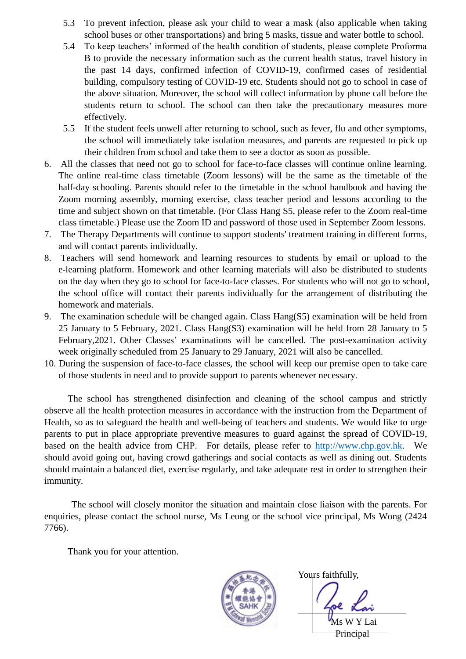- 5.3 To prevent infection, please ask your child to wear a mask (also applicable when taking school buses or other transportations) and bring 5 masks, tissue and water bottle to school.
- 5.4 To keep teachers' informed of the health condition of students, please complete Proforma B to provide the necessary information such as the current health status, travel history in the past 14 days, confirmed infection of COVID-19, confirmed cases of residential building, compulsory testing of COVID-19 etc. Students should not go to school in case of the above situation. Moreover, the school will collect information by phone call before the students return to school. The school can then take the precautionary measures more effectively.
- 5.5 If the student feels unwell after returning to school, such as fever, flu and other symptoms, the school will immediately take isolation measures, and parents are requested to pick up their children from school and take them to see a doctor as soon as possible.
- 6. All the classes that need not go to school for face-to-face classes will continue online learning. The online real-time class timetable (Zoom lessons) will be the same as the timetable of the half-day schooling. Parents should refer to the timetable in the school handbook and having the Zoom morning assembly, morning exercise, class teacher period and lessons according to the time and subject shown on that timetable. (For Class Hang S5, please refer to the Zoom real-time class timetable.) Please use the Zoom ID and password of those used in September Zoom lessons.
- 7. The Therapy Departments will continue to support students' treatment training in different forms, and will contact parents individually.
- 8. Teachers will send homework and learning resources to students by email or upload to the e-learning platform. Homework and other learning materials will also be distributed to students on the day when they go to school for face-to-face classes. For students who will not go to school, the school office will contact their parents individually for the arrangement of distributing the homework and materials.
- 9. The examination schedule will be changed again. Class Hang(S5) examination will be held from 25 January to 5 February, 2021. Class Hang(S3) examination will be held from 28 January to 5 February,2021. Other Classes' examinations will be cancelled. The post-examination activity week originally scheduled from 25 January to 29 January, 2021 will also be cancelled.
- 10. During the suspension of face-to-face classes, the school will keep our premise open to take care of those students in need and to provide support to parents whenever necessary.

The school has strengthened disinfection and cleaning of the school campus and strictly observe all the health protection measures in accordance with the instruction from the Department of Health, so as to safeguard the health and well-being of teachers and students. We would like to urge parents to put in place appropriate preventive measures to guard against the spread of COVID-19, based on the health advice from CHP. For details, please refer to [http://www.chp.gov.hk.](http://www.chp.gov.hk/) We should avoid going out, having crowd gatherings and social contacts as well as dining out. Students should maintain a balanced diet, exercise regularly, and take adequate rest in order to strengthen their immunity.

The school will closely monitor the situation and maintain close liaison with the parents. For enquiries, please contact the school nurse, Ms Leung or the school vice principal, Ms Wong (2424 7766).

Thank you for your attention.



Yours faithfully,

 $\gamma$ <sup>be</sup> kan

Ms W Y Lai Principal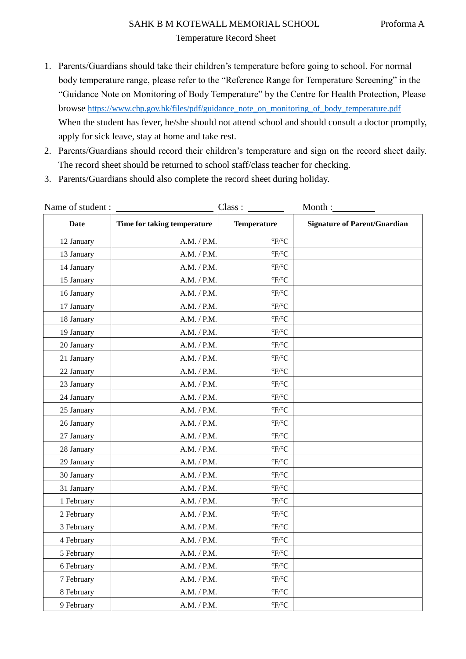# SAHK B M KOTEWALL MEMORIAL SCHOOL Proforma A Temperature Record Sheet

- 1. Parents/Guardians should take their children's temperature before going to school. For normal body temperature range, please refer to the "Reference Range for Temperature Screening" in the "Guidance Note on Monitoring of Body Temperature" by the Centre for Health Protection, Please browse [https://www.chp.gov.hk/files/pdf/guidance\\_note\\_on\\_monitoring\\_of\\_body\\_temperature.pdf](https://www.chp.gov.hk/files/pdf/guidance_note_on_monitoring_of_body_temperature.pdf) When the student has fever, he/she should not attend school and should consult a doctor promptly, apply for sick leave, stay at home and take rest.
- 2. Parents/Guardians should record their children's temperature and sign on the record sheet daily. The record sheet should be returned to school staff/class teacher for checking.
- 3. Parents/Guardians should also complete the record sheet during holiday.

| Name of student: | Class :                     | Month:                        |                                     |
|------------------|-----------------------------|-------------------------------|-------------------------------------|
| <b>Date</b>      | Time for taking temperature | <b>Temperature</b>            | <b>Signature of Parent/Guardian</b> |
| 12 January       | A.M. / P.M.                 | $\mathrm{P}F/\mathrm{P}C$     |                                     |
| 13 January       | A.M. / P.M.                 | $\mathrm{P}F/\mathrm{P}C$     |                                     |
| 14 January       | A.M. / P.M.                 | $\mathrm{^o F}/\mathrm{^o C}$ |                                     |
| 15 January       | A.M. / P.M.                 | $\mathrm{^oF}/\mathrm{^oC}$   |                                     |
| 16 January       | A.M. / P.M.                 | $\mathrm{P}F/\mathrm{P}C$     |                                     |
| 17 January       | A.M. / P.M.                 | $\mathrm{^oF}/\mathrm{^oC}$   |                                     |
| 18 January       | A.M. / P.M.                 | $\mathrm{^o F}/\mathrm{^o C}$ |                                     |
| 19 January       | A.M. / P.M.                 | $\mathrm{^o F}/\mathrm{^o C}$ |                                     |
| 20 January       | A.M. / P.M.                 | $\mathrm{^oF}/\mathrm{^oC}$   |                                     |
| 21 January       | A.M. / P.M.                 | $\mathrm{^o F}/\mathrm{^o C}$ |                                     |
| 22 January       | A.M. / P.M.                 | $\mathrm{P}F/\mathrm{P}C$     |                                     |
| 23 January       | A.M. / P.M.                 | $\mathrm{P}F/\mathrm{P}C$     |                                     |
| 24 January       | A.M. / P.M.                 | $\mathrm{P}F/\mathrm{P}C$     |                                     |
| 25 January       | A.M. / P.M.                 | $\mathrm{^o F}/\mathrm{^o C}$ |                                     |
| 26 January       | A.M. / P.M.                 | $\mathrm{P}F/\mathrm{P}C$     |                                     |
| 27 January       | A.M. / P.M.                 | $\mathrm{^oF}/\mathrm{^oC}$   |                                     |
| 28 January       | A.M. / P.M.                 | $\mathrm{^o F}/\mathrm{^o C}$ |                                     |
| 29 January       | A.M. / P.M.                 | $\mathrm{^o F}/\mathrm{^o C}$ |                                     |
| 30 January       | A.M. / P.M.                 | $\mathrm{P}F/\mathrm{P}C$     |                                     |
| 31 January       | A.M. / P.M.                 | $\mathrm{^oF}/\mathrm{^oC}$   |                                     |
| 1 February       | A.M. / P.M.                 | $\mathrm{P}F/\mathrm{P}C$     |                                     |
| 2 February       | A.M. / P.M.                 | $\mathrm{P}F/\mathrm{P}C$     |                                     |
| 3 February       | A.M. / P.M.                 | $\mathrm{^o F}/\mathrm{^o C}$ |                                     |
| 4 February       | A.M. / P.M.                 | $\mathrm{^o F}/\mathrm{^o C}$ |                                     |
| 5 February       | A.M. / P.M.                 | $\mathrm{^o F}/\mathrm{^o C}$ |                                     |
| 6 February       | A.M. / P.M.                 | $\mathrm{P}F/\mathrm{P}C$     |                                     |
| 7 February       | A.M. / P.M.                 | $\mathrm{^oF}/\mathrm{^oC}$   |                                     |
| 8 February       | A.M. / P.M.                 | $\mathrm{^oF}/\mathrm{^oC}$   |                                     |
| 9 February       | A.M. / P.M.                 | $\mathrm{^oF}/\mathrm{^oC}$   |                                     |